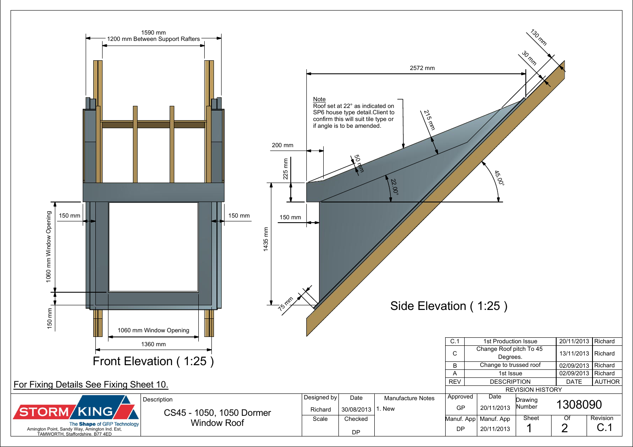